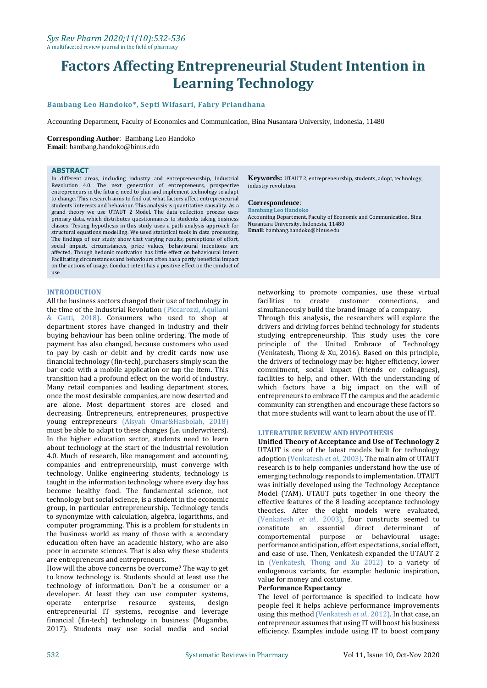# **Factors Affecting Entrepreneurial Student Intention in Learning Technology**

## **Bambang Leo Handoko\*, Septi Wifasari, Fahry Priandhana**

Accounting Department, Faculty of Economics and Communication, Bina Nusantara University, Indonesia, 11480

## **Corresponding Author**: Bambang Leo Handoko

**Email**: bambang.handoko@binus.edu

#### **ABSTRACT**

In different areas, including industry and entrepreneurship, Industrial Revolution 4.0. The next generation of entrepreneurs, prospective entrepreneurs in the future, need to plan and implement technology to adapt to change. This research aims to find out what factors affect entrepreneurial students' interests and behaviour. This analysis is quantitative causality. As a grand theory we use UTAUT 2 Model. The data collection process uses primary data, which distributes questionnaires to students taking business classes. Testing hypothesis in this study uses a path analysis approach for structural equations modelling. We used statistical tools in data processing. The findings of our study show that varying results, perceptions of effort, social impact, circumstances, price values, behavioural intentions are affected. Though hedonic motivation has little effect on behavioural intent. Facilitating circumstances and behaviours often has a partly beneficial impact on the actions of usage. Conduct intent has a positive effect on the conduct of use

#### **INTRODUCTION**

All the business sectors changed their use of technology in the time of the Industrial Revolution (Piccarozzi, Aquilani & Gatti, 2018). Consumers who used to shop at department stores have changed in industry and their buying behaviour has been online ordering. The mode of payment has also changed, because customers who used to pay by cash or debit and by credit cards now use financial technology (fin-tech), purchasers simply scan the bar code with a mobile application or tap the item. This transition had a profound effect on the world of industry. Many retail companies and leading department stores, once the most desirable companies, are now deserted and are alone. Most department stores are closed and decreasing. Entrepreneurs, entrepreneures, prospective young entrepreneurs (Aisyah Omar&Hasbolah, 2018) must be able to adapt to these changes (i.e. underwriters). In the higher education sector, students need to learn about technology at the start of the industrial revolution 4.0. Much of research, like management and accounting, companies and entrepreneurship, must converge with technology. Unlike engineering students, technology is taught in the information technology where every day has become healthy food. The fundamental science, not technology but social science, is a student in the economic group, in particular entrepreneurship. Technology tends to synonymize with calculation, algebra, logarithms, and computer programming. This is a problem for students in the business world as many of those with a secondary education often have an academic history, who are also poor in accurate sciences. That is also why these students are entrepreneurs and entrepreneurs.

How will the above concerns be overcome? The way to get to know technology is. Students should at least use the technology of information. Don't be a consumer or a developer. At least they can use computer systems, operate enterprise resource systems, design entrepreneurial IT systems, recognise and leverage financial (fin-tech) technology in business (Mugambe, 2017). Students may use social media and social

**Keywords:** UTAUT 2, entrepreneurship, students, adopt, technology, industry revolution.

## **Correspondence**:

**Bambang Leo Handoko** Accounting Department, Faculty of Economic and Communication, Bina Nusantara University, Indonesia, 11480 **Email**: bambang.handoko@binus.edu

networking to promote companies, use these virtual facilities to create customer connections, and simultaneously build the brand image of a company.

Through this analysis, the researchers will explore the drivers and driving forces behind technology for students studying entrepreneurship. This study uses the core principle of the United Embrace of Technology (Venkatesh, Thong & Xu, 2016). Based on this principle, the drivers of technology may be: higher efficiency, lower commitment, social impact (friends or colleagues), facilities to help, and other. With the understanding of which factors have a big impact on the will of entrepreneurs to embrace IT the campus and the academic community can strengthen and encourage these factors so that more students will want to learn about the use of IT.

#### **LITERATURE REVIEW AND HYPOTHESIS**

**Unified Theory of Acceptance and Use of Technology 2** UTAUT is one of the latest models built for technology adoption (Venkatesh *et al*., 2003). The main aim of UTAUT research is to help companies understand how the use of emerging technology responds to implementation. UTAUT was initially developed using the Technology Acceptance Model (TAM). UTAUT puts together in one theory the effective features of the 8 leading acceptance technology theories. After the eight models were evaluated, (Venkatesh *et al*., 2003), four constructs seemed to constitute an essential direct determinant of comportemental purpose or behavioural usage: performance anticipation, effort expectations, social effect, and ease of use. Then, Venkatesh expanded the UTAUT 2 in (Venkatesh, Thong and Xu 2012) to a variety of endogenous variants, for example: hedonic inspiration, value for money and costume.

#### **Performance Expectancy**

The level of performance is specified to indicate how people feel it helps achieve performance improvements using this method (Venkatesh *et al*., 2012). In that case, an entrepreneur assumes that using IT will boost his business efficiency. Examples include using IT to boost company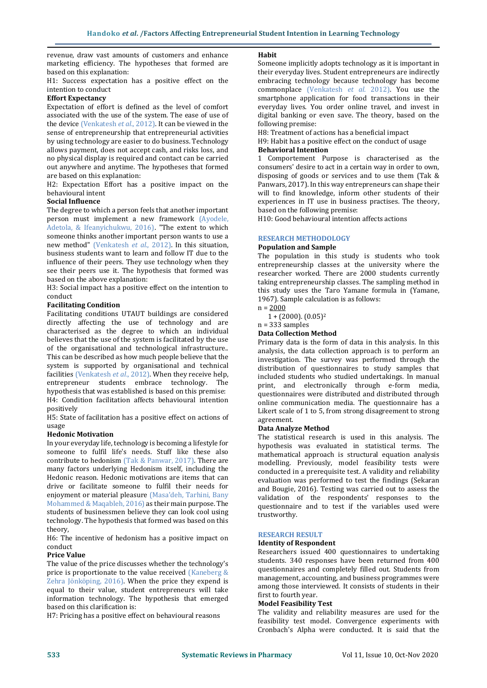revenue, draw vast amounts of customers and enhance marketing efficiency. The hypotheses that formed are based on this explanation:

H1: Success expectation has a positive effect on the intention to conduct

## **Effort Expectancy**

Expectation of effort is defined as the level of comfort associated with the use of the system. The ease of use of the device (Venkatesh *et al*., 2012). It can be viewed in the sense of entrepreneurship that entrepreneurial activities by using technology are easier to do business. Technology allows payment, does not accept cash, and risks loss, and no physical display is required and contact can be carried out anywhere and anytime. The hypotheses that formed are based on this explanation:

H2: Expectation Effort has a positive impact on the behavioural intent

### **Social Influence**

The degree to which a person feels that another important person must implement a new framework (Ayodele, Adetola, & Ifeanyichukwu, 2016). "The extent to which someone thinks another important person wants to use a new method" (Venkatesh *et al*., 2012). In this situation, business students want to learn and follow IT due to the influence of their peers. They use technology when they see their peers use it. The hypothesis that formed was based on the above explanation:

H3: Social impact has a positive effect on the intention to conduct

#### **Facilitating Condition**

Facilitating conditions UTAUT buildings are considered directly affecting the use of technology and are characterised as the degree to which an individual believes that the use of the system is facilitated by the use of the organisational and technological infrastructure.. This can be described as how much people believe that the system is supported by organisational and technical facilities (Venkatesh *et al*., 2012). When they receive help, entrepreneur students embrace technology. The hypothesis that was established is based on this premise: H4: Condition facilitation affects behavioural intention positively

H5: State of facilitation has a positive effect on actions of usage

#### **Hedonic Motivation**

In your everyday life, technology is becoming a lifestyle for someone to fulfil life's needs. Stuff like these also contribute to hedonism (Tak & Panwar, 2017). There are many factors underlying Hedonism itself, including the Hedonic reason. Hedonic motivations are items that can drive or facilitate someone to fulfil their needs for enjoyment or material pleasure (Masa'deh, Tarhini, Bany Mohammed & Maqableh, 2016) as their main purpose. The students of businessmen believe they can look cool using technology. The hypothesis that formed was based on this theory,

H6: The incentive of hedonism has a positive impact on conduct

#### **Price Value**

The value of the price discusses whether the technology's price is proportionate to the value received (Kaneberg & Zehra Jönköping, 2016). When the price they expend is equal to their value, student entrepreneurs will take information technology. The hypothesis that emerged based on this clarification is:

H7: Pricing has a positive effect on behavioural reasons

#### **Habit**

Someone implicitly adopts technology as it is important in their everyday lives. Student entrepreneurs are indirectly embracing technology because technology has become commonplace (Venkatesh *et al*. 2012). You use the smartphone application for food transactions in their everyday lives. You order online travel, and invest in digital banking or even save. The theory, based on the following premise:

H8: Treatment of actions has a beneficial impact

H9: Habit has a positive effect on the conduct of usage **Behavioral Intention**

1 Comportement Purpose is characterised as the consumers' desire to act in a certain way in order to own, disposing of goods or services and to use them (Tak & Panwars, 2017). In this way entrepreneurs can shape their will to find knowledge, inform other students of their experiences in IT use in business practises. The theory, based on the following premise:

H10: Good behavioural intention affects actions

## **RESEARCH METHODOLOGY**

## **Population and Sample**

The population in this study is students who took entrepreneurship classes at the university where the researcher worked. There are 2000 students currently taking entrepreneurship classes. The sampling method in this study uses the Taro Yamane formula in (Yamane, 1967). Sample calculation is as follows:

 $n = 2000$ 

 $1 + (2000)$ .  $(0.05)^2$ n = 333 samples

## **Data Collection Method**

Primary data is the form of data in this analysis. In this analysis, the data collection approach is to perform an investigation. The survey was performed through the distribution of questionnaires to study samples that included students who studied undertakings. In manual print, and electronically through e-form media, questionnaires were distributed and distributed through online communication media. The questionnaire has a Likert scale of 1 to 5, from strong disagreement to strong agreement.

#### **Data Analyze Method**

The statistical research is used in this analysis. The hypothesis was evaluated in statistical terms. The mathematical approach is structural equation analysis modelling. Previously, model feasibility tests were conducted in a prerequisite test. A validity and reliability evaluation was performed to test the findings (Sekaran and Bougie, 2016). Testing was carried out to assess the validation of the respondents' responses to the questionnaire and to test if the variables used were trustworthy.

#### **RESEARCH RESULT**

#### **Identity of Respondent**

Researchers issued 400 questionnaires to undertaking students. 340 responses have been returned from 400 questionnaires and completely filled out. Students from management, accounting, and business programmes were among those interviewed. It consists of students in their first to fourth year.

## **Model Feasibility Test**

The validity and reliability measures are used for the feasibility test model. Convergence experiments with Cronbach's Alpha were conducted. It is said that the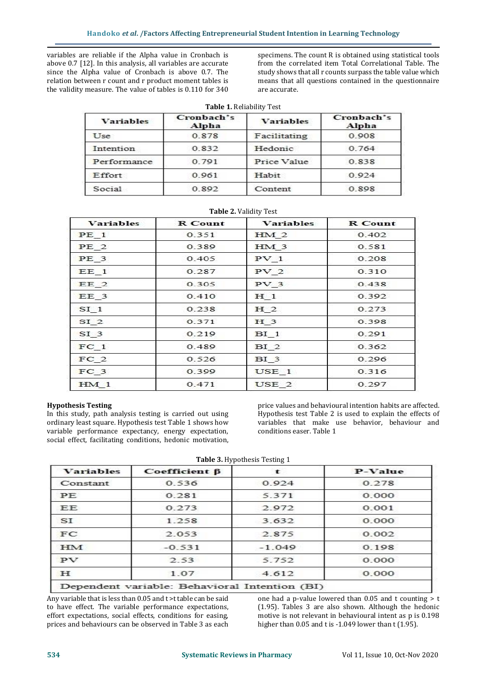variables are reliable if the Alpha value in Cronbach is above 0.7 [12]. In this analysis, all variables are accurate since the Alpha value of Cronbach is above 0.7. The relation between r count and r product moment tables is the validity measure. The value of tables is 0.110 for 340

specimens. The count R is obtained using statistical tools from the correlated item Total Correlational Table. The study shows that all r counts surpass the table value which means that all questions contained in the questionnaire are accurate.

|                  | <b>Table 1. Reliability Test</b> |                  |                     |
|------------------|----------------------------------|------------------|---------------------|
| <b>Variables</b> | Cronbach's<br>Alpha              | <b>Variables</b> | Cronbach's<br>Alpha |
| Use              | 0.878                            | Facilitating     | 0.908               |
| Intention        | 0.832                            | Hedonic          | 0.764               |
| Performance      | 0.791                            | Price Value      | 0.838               |
| Effort           | 0.961                            | Habit            | 0.924               |
| Social           | 0.892                            | Content          | 0.898               |

| <b>Variables</b> | <b>R</b> Count | <b>Variables</b> | <b>R</b> Count |
|------------------|----------------|------------------|----------------|
| PE <sub>1</sub>  | 0.351          | HM <sub>2</sub>  | 0.402          |
| PE <sub>2</sub>  | 0.389          | HM <sub>3</sub>  | 0.581          |
| PE <sub>3</sub>  | 0.405          | PV <sub>1</sub>  | 0.208          |
| $EE$ 1           | 0.287          | PV <sub>2</sub>  | 0.310          |
| EE <sub>2</sub>  | 0.305          | PV <sub>3</sub>  | 0.438          |
| $EE$ 3           | 0.410          | H <sub>1</sub>   | 0.392          |
| SI <sub>1</sub>  | 0.238          | H <sub>2</sub>   | 0.273          |
| SI <sub>2</sub>  | 0.371          | H <sub>3</sub>   | 0.398          |
| SI <sub>3</sub>  | 0.219          | BI <sub>1</sub>  | 0.291          |
| FC <sub>1</sub>  | 0.489          | BI <sub>2</sub>  | 0.362          |
| FC <sub>2</sub>  | 0.526          | BI <sub>3</sub>  | 0.296          |
| $FC_3$           | 0.399          | USE 1            | 0.316          |
| HM <sub>1</sub>  | 0.471          | USE 2            | 0.297          |

## **Table 2.** Validity Test

#### **Hypothesis Testing**

In this study, path analysis testing is carried out using ordinary least square. Hypothesis test Table 1 shows how variable performance expectancy, energy expectation, social effect, facilitating conditions, hedonic motivation,

price values and behavioural intention habits are affected. Hypothesis test Table 2 is used to explain the effects of variables that make use behavior, behaviour and conditions easer. Table 1

**Table 3.** Hypothesis Testing 1

| <b>Variables</b> | Coefficient $\beta$ | t        | P-Value |
|------------------|---------------------|----------|---------|
| Constant         | 0.536               | 0.924    | 0.278   |
| PE.              | 0.281               | 5.371    | 0.000   |
| EE.              | 0.273               | 2.972    | 0.001   |
| SI               | 1.258               | 3.632    | 0.000   |
| FC               | 2.053               | 2.875    | 0.002   |
| <b>HM</b>        | $-0.531$            | $-1.049$ | 0.198   |
| PV               | 2.53                | 5.752    | 0.000   |
| H                | 1.07                | 4.612    | 0.000   |

Any variable that is less than 0.05 and t >t table can be said to have effect. The variable performance expectations, effort expectations, social effects, conditions for easing, prices and behaviours can be observed in Table 3 as each

one had a p-value lowered than  $0.05$  and t counting  $> t$ (1.95). Tables 3 are also shown. Although the hedonic motive is not relevant in behavioural intent as p is 0.198 higher than 0.05 and t is -1.049 lower than t (1.95).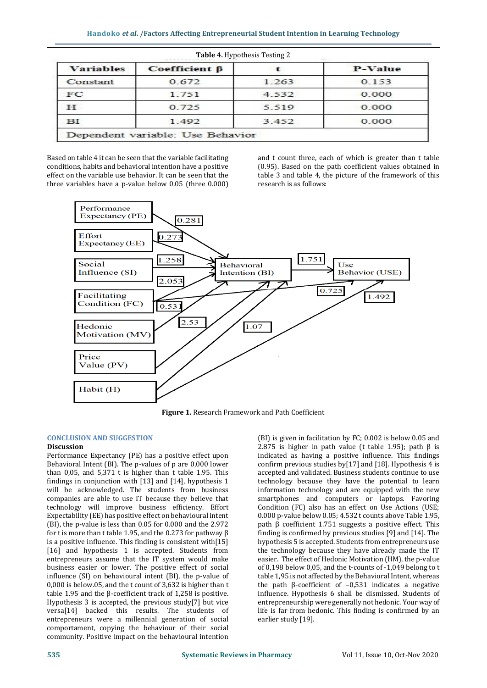| <b>Variables</b> | $Coefficient \beta$ |       | P-Value |
|------------------|---------------------|-------|---------|
| Constant         | 0.672               | 1.263 | 0.153   |
| FC               | 1.751               | 4.532 | 0.000   |
| H.               | 0.725               | 5.519 | 0.000   |
| ΒΙ               | 1.492               | 3.452 | 0.000   |

Based on table 4 it can be seen that the variable facilitating conditions, habits and behavioral intention have a positive effect on the variable use behavior. It can be seen that the three variables have a p-value below 0.05 (three 0.000)

and t count three, each of which is greater than t table (0.95). Based on the path coefficient values obtained in table 3 and table 4, the picture of the framework of this research is as follows:



**Figure 1.** Research Framework and Path Coefficient

## **CONCLUSION AND SUGGESTION**

### **Discussion**

Performance Expectancy (PE) has a positive effect upon Behavioral Intent (BI). The p-values of p are 0,000 lower than 0,05, and 5,371 t is higher than t table 1.95. This findings in conjunction with [13] and [14], hypothesis 1 will be acknowledged. The students from business companies are able to use IT because they believe that technology will improve business efficiency. Effort Expectability (EE) has positive effect on behavioural intent (BI), the p-value is less than 0.05 for 0.000 and the 2.972 for t is more than t table 1.95, and the 0.273 for pathway  $\beta$ is a positive influence. This finding is consistent with[15] [16] and hypothesis 1 is accepted. Students from entrepreneurs assume that the IT system would make business easier or lower. The positive effect of social influence (SI) on behavioural intent (BI), the p-value of 0,000 is below.05, and the t count of 3,632 is higher than t table 1.95 and the β-coefficient track of 1,258 is positive. Hypothesis 3 is accepted, the previous study[7] but vice versa[14] backed this results. The students of entrepreneurs were a millennial generation of social comportament, copying the behaviour of their social community. Positive impact on the behavioural intention

(BI) is given in facilitation by FC; 0.002 is below 0.05 and 2.875 is higher in path value (t table 1.95); path  $β$  is indicated as having a positive influence. This findings confirm previous studies by[17] and [18]. Hypothesis 4 is accepted and validated. Business students continue to use technology because they have the potential to learn information technology and are equipped with the new smartphones and computers or laptops. Favoring Condition (FC) also has an effect on Use Actions (USE; 0.000 p-value below 0.05; 4.532 t counts above Table 1.95, path  $β$  coefficient 1.751 suggests a positive effect. This finding is confirmed by previous studies [9] and [14]. The hypothesis 5 is accepted. Students from entrepreneurs use the technology because they have already made the IT easier. The effect of Hedonic Motivation (HM), the p-value of 0,198 below 0,05, and the t-counts of -1,049 belong to t table 1,95 is not affected by the Behavioral Intent, whereas the path β-coefficient of –0,531 indicates a negative influence. Hypothesis 6 shall be dismissed. Students of entrepreneurship were generally not hedonic. Your way of life is far from hedonic. This finding is confirmed by an earlier study [19].